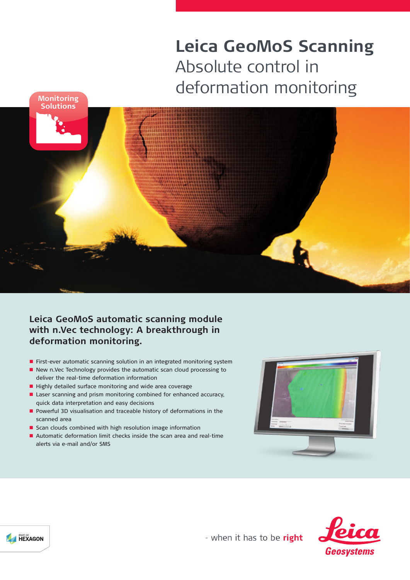# **Leica GeoMoS Scanning** Absolute control in deformation monitoring **Monitoring**



**Leica GeoMoS automatic scanning module with n.Vec technology: A breakthrough in deformation monitoring.**

- **n** First-ever automatic scanning solution in an integrated monitoring system
- New n.Vec Technology provides the automatic scan cloud processing to deliver the real-time deformation information
- Highly detailed surface monitoring and wide area coverage
- Laser scanning and prism monitoring combined for enhanced accuracy, quick data interpretation and easy decisions
- Powerful 3D visualisation and traceable history of deformations in the scanned area
- Scan clouds combined with high resolution image information
- Automatic deformation limit checks inside the scan area and real-time alerts via e-mail and/or SMS







- when it has to be right